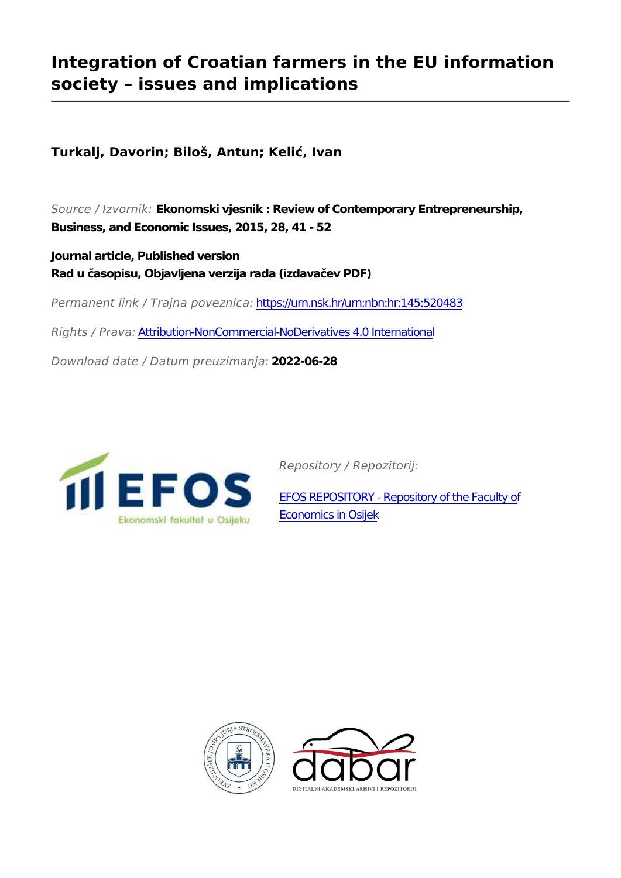# **Integration of Croatian farmers in the EU information society – issues and implications**

**Turkalj, Davorin; Biloš, Antun; Kelić, Ivan**

*Source / Izvornik:* **Ekonomski vjesnik : Review of Contemporary Entrepreneurship, Business, and Economic Issues, 2015, 28, 41 - 52**

**Journal article, Published version Rad u časopisu, Objavljena verzija rada (izdavačev PDF)**

*Permanent link / Trajna poveznica:* <https://urn.nsk.hr/urn:nbn:hr:145:520483>

*Rights / Prava:* [Attribution-NonCommercial-NoDerivatives 4.0 International](http://creativecommons.org/licenses/by-nc-nd/4.0/)

*Download date / Datum preuzimanja:* **2022-06-28**



*Repository / Repozitorij:*

[EFOS REPOSITORY - Repository of the Faculty o](https://repozitorij.efos.hr)f [Economics in Osijek](https://repozitorij.efos.hr)



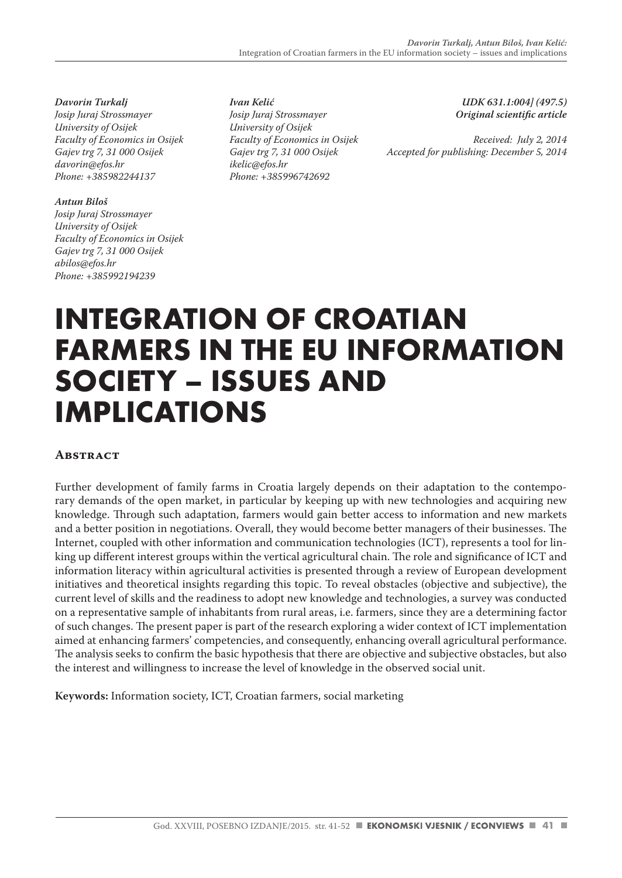*Davorin Turkalj Josip Juraj Strossmayer University of Osijek Faculty of Economics in Osijek Gajev trg 7, 31 000 Osijek davorin@efos.hr Phone: +385982244137*

#### *Antun Biloš*

*Josip Juraj Strossmayer University of Osijek Faculty of Economics in Osijek Gajev trg 7, 31 000 Osijek abilos@efos.hr Phone: +385992194239*

*Ivan Kelić Josip Juraj Strossmayer University of Osijek Faculty of Economics in Osijek Gajev trg 7, 31 000 Osijek ikelic@efos.hr Phone: +385996742692*

*UDK 631.1:004] (497.5) Original scientific article*

*Received: July 2, 2014 Accepted for publishing: December 5, 2014*

# **INTEGRATION OF CROATIAN FARMERS IN THE EU INFORMATION SOCIETY – ISSUES AND IMPLICATIONS**

# **Abstract**

Further development of family farms in Croatia largely depends on their adaptation to the contemporary demands of the open market, in particular by keeping up with new technologies and acquiring new knowledge. Through such adaptation, farmers would gain better access to information and new markets and a better position in negotiations. Overall, they would become better managers of their businesses. The Internet, coupled with other information and communication technologies (ICT), represents a tool for linking up different interest groups within the vertical agricultural chain. The role and significance of ICT and information literacy within agricultural activities is presented through a review of European development initiatives and theoretical insights regarding this topic. To reveal obstacles (objective and subjective), the current level of skills and the readiness to adopt new knowledge and technologies, a survey was conducted on a representative sample of inhabitants from rural areas, i.e. farmers, since they are a determining factor of such changes. The present paper is part of the research exploring a wider context of ICT implementation aimed at enhancing farmers' competencies, and consequently, enhancing overall agricultural performance. The analysis seeks to confirm the basic hypothesis that there are objective and subjective obstacles, but also the interest and willingness to increase the level of knowledge in the observed social unit.

**Keywords:** Information society, ICT, Croatian farmers, social marketing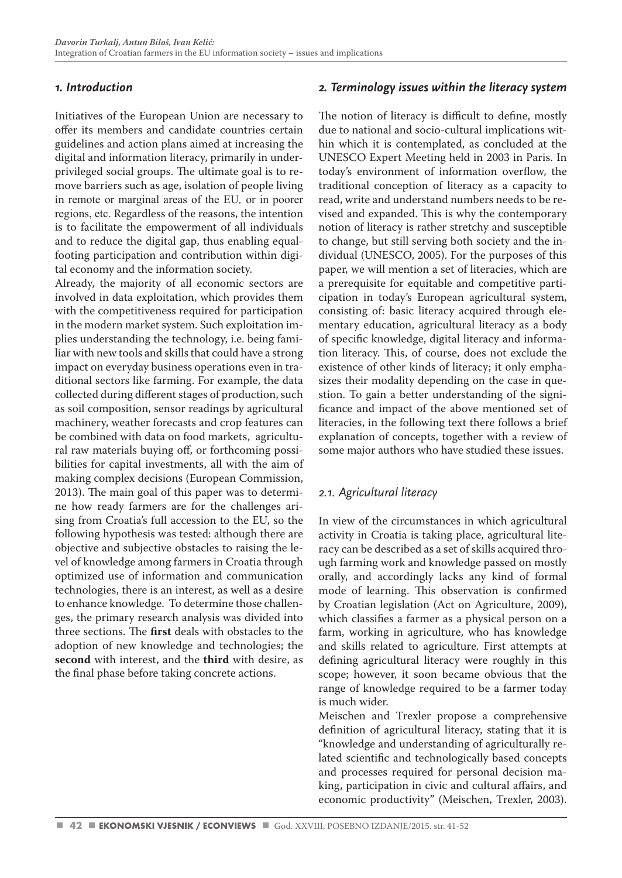# *1. Introduction*

Initiatives of the European Union are necessary to offer its members and candidate countries certain guidelines and action plans aimed at increasing the digital and information literacy, primarily in underprivileged social groups. The ultimate goal is to remove barriers such as age, isolation of people living in remote or marginal areas of the EU*,* or in poorer regions, etc. Regardless of the reasons, the intention is to facilitate the empowerment of all individuals and to reduce the digital gap, thus enabling equalfooting participation and contribution within digital economy and the information society.

Already, the majority of all economic sectors are involved in data exploitation, which provides them with the competitiveness required for participation in the modern market system. Such exploitation implies understanding the technology, i.e. being familiar with new tools and skills that could have a strong impact on everyday business operations even in traditional sectors like farming. For example, the data collected during different stages of production, such as soil composition, sensor readings by agricultural machinery, weather forecasts and crop features can be combined with data on food markets, agricultural raw materials buying off, or forthcoming possibilities for capital investments, all with the aim of making complex decisions (European Commission, 2013). The main goal of this paper was to determine how ready farmers are for the challenges arising from Croatia's full accession to the EU, so the following hypothesis was tested: although there are objective and subjective obstacles to raising the level of knowledge among farmers in Croatia through optimized use of information and communication technologies, there is an interest, as well as a desire to enhance knowledge. To determine those challenges, the primary research analysis was divided into three sections. The **first** deals with obstacles to the adoption of new knowledge and technologies; the **second** with interest, and the **third** with desire, as the final phase before taking concrete actions.

# *2. Terminology issues within the literacy system*

The notion of literacy is difficult to define, mostly due to national and socio-cultural implications within which it is contemplated, as concluded at the UNESCO Expert Meeting held in 2003 in Paris. In today's environment of information overflow, the traditional conception of literacy as a capacity to read, write and understand numbers needs to be revised and expanded. This is why the contemporary notion of literacy is rather stretchy and susceptible to change, but still serving both society and the individual (UNESCO, 2005). For the purposes of this paper, we will mention a set of literacies, which are a prerequisite for equitable and competitive participation in today's European agricultural system, consisting of: basic literacy acquired through elementary education, agricultural literacy as a body of specific knowledge, digital literacy and information literacy. This, of course, does not exclude the existence of other kinds of literacy; it only emphasizes their modality depending on the case in question. To gain a better understanding of the significance and impact of the above mentioned set of literacies, in the following text there follows a brief explanation of concepts, together with a review of some major authors who have studied these issues.

# *2.1. Agricultural literacy*

In view of the circumstances in which agricultural activity in Croatia is taking place, agricultural literacy can be described as a set of skills acquired through farming work and knowledge passed on mostly orally, and accordingly lacks any kind of formal mode of learning. This observation is confirmed by Croatian legislation (Act on Agriculture, 2009), which classifies a farmer as a physical person on a farm, working in agriculture, who has knowledge and skills related to agriculture. First attempts at defining agricultural literacy were roughly in this scope; however, it soon became obvious that the range of knowledge required to be a farmer today is much wider.

Meischen and Trexler propose a comprehensive definition of agricultural literacy, stating that it is "knowledge and understanding of agriculturally related scientific and technologically based concepts and processes required for personal decision making, participation in civic and cultural affairs, and economic productivity" (Meischen, Trexler, 2003).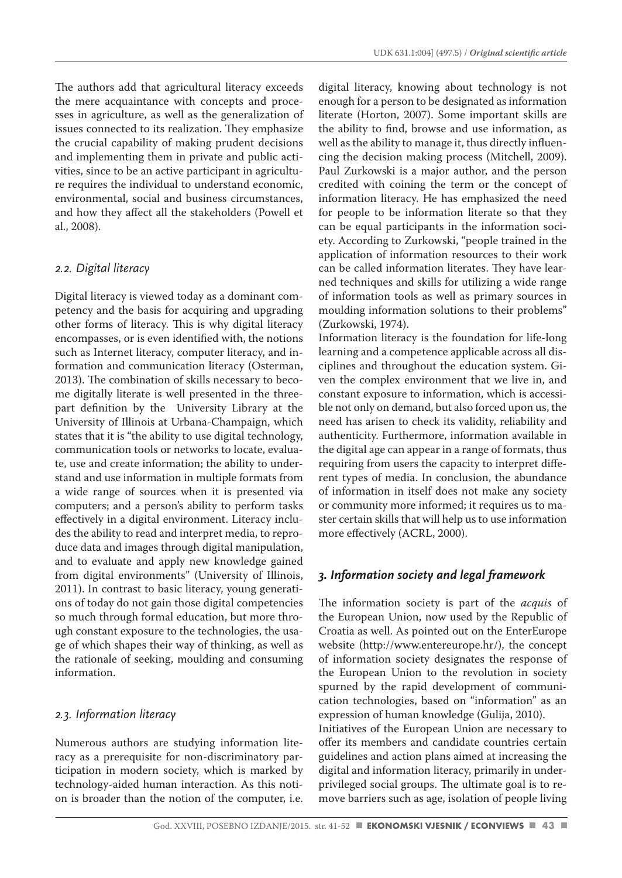The authors add that agricultural literacy exceeds the mere acquaintance with concepts and processes in agriculture, as well as the generalization of issues connected to its realization. They emphasize the crucial capability of making prudent decisions and implementing them in private and public activities, since to be an active participant in agriculture requires the individual to understand economic, environmental, social and business circumstances, and how they affect all the stakeholders (Powell et al., 2008).

#### *2.2. Digital literacy*

Digital literacy is viewed today as a dominant competency and the basis for acquiring and upgrading other forms of literacy. This is why digital literacy encompasses, or is even identified with, the notions such as Internet literacy, computer literacy, and information and communication literacy (Osterman, 2013). The combination of skills necessary to become digitally literate is well presented in the threepart definition by the University Library at the University of Illinois at Urbana-Champaign, which states that it is "the ability to use digital technology, communication tools or networks to locate, evaluate, use and create information; the ability to understand and use information in multiple formats from a wide range of sources when it is presented via computers; and a person's ability to perform tasks effectively in a digital environment. Literacy includes the ability to read and interpret media, to reproduce data and images through digital manipulation, and to evaluate and apply new knowledge gained from digital environments" (University of Illinois, 2011). In contrast to basic literacy, young generations of today do not gain those digital competencies so much through formal education, but more through constant exposure to the technologies, the usage of which shapes their way of thinking, as well as the rationale of seeking, moulding and consuming information.

### *2.3. Information literacy*

Numerous authors are studying information literacy as a prerequisite for non-discriminatory participation in modern society, which is marked by technology-aided human interaction. As this notion is broader than the notion of the computer, i.e.

digital literacy, knowing about technology is not enough for a person to be designated as information literate (Horton, 2007). Some important skills are the ability to find, browse and use information, as well as the ability to manage it, thus directly influencing the decision making process (Mitchell, 2009). Paul Zurkowski is a major author, and the person credited with coining the term or the concept of information literacy. He has emphasized the need for people to be information literate so that they can be equal participants in the information society. According to Zurkowski, "people trained in the application of information resources to their work can be called information literates. They have learned techniques and skills for utilizing a wide range of information tools as well as primary sources in moulding information solutions to their problems" (Zurkowski, 1974).

Information literacy is the foundation for life-long learning and a competence applicable across all disciplines and throughout the education system. Given the complex environment that we live in, and constant exposure to information, which is accessible not only on demand, but also forced upon us, the need has arisen to check its validity, reliability and authenticity. Furthermore, information available in the digital age can appear in a range of formats, thus requiring from users the capacity to interpret different types of media. In conclusion, the abundance of information in itself does not make any society or community more informed; it requires us to master certain skills that will help us to use information more effectively (ACRL, 2000).

# *3. Information society and legal framework*

The information society is part of the *acquis* of the European Union, now used by the Republic of Croatia as well. As pointed out on the EnterEurope website (http://www.entereurope.hr/), the concept of information society designates the response of the European Union to the revolution in society spurned by the rapid development of communication technologies, based on "information" as an expression of human knowledge (Gulija, 2010).

Initiatives of the European Union are necessary to offer its members and candidate countries certain guidelines and action plans aimed at increasing the digital and information literacy, primarily in underprivileged social groups. The ultimate goal is to remove barriers such as age, isolation of people living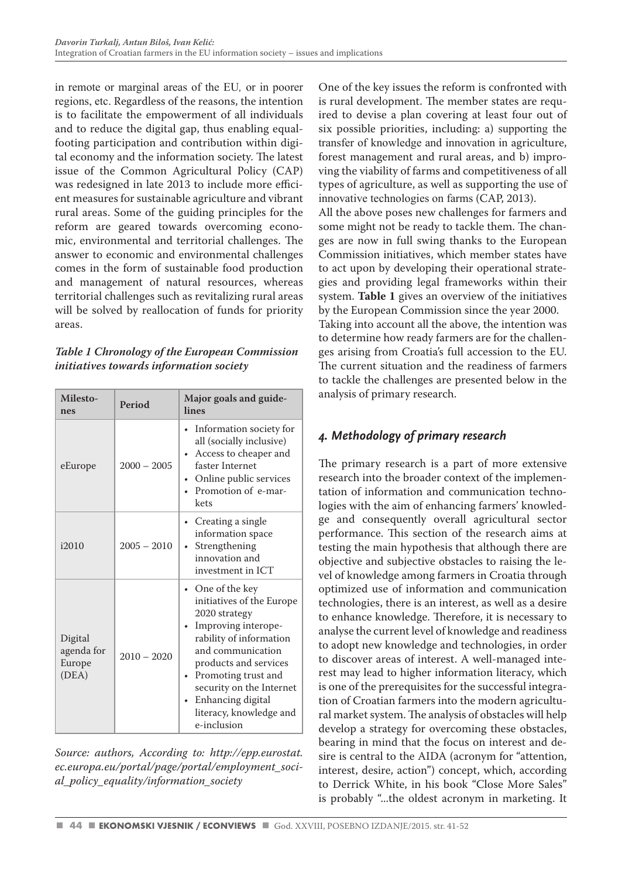in remote or marginal areas of the EU*,* or in poorer regions, etc. Regardless of the reasons, the intention is to facilitate the empowerment of all individuals and to reduce the digital gap, thus enabling equalfooting participation and contribution within digital economy and the information society. The latest issue of the Common Agricultural Policy (CAP) was redesigned in late 2013 to include more efficient measures for sustainable agriculture and vibrant rural areas. Some of the guiding principles for the reform are geared towards overcoming economic, environmental and territorial challenges. The answer to economic and environmental challenges comes in the form of sustainable food production and management of natural resources, whereas territorial challenges such as revitalizing rural areas will be solved by reallocation of funds for priority areas.

*Table 1 Chronology of the European Commission initiatives towards information society*

| Milesto-<br>nes                          | Period        | Major goals and guide-<br>lines                                                                                                                                                                                                                                                       |  |
|------------------------------------------|---------------|---------------------------------------------------------------------------------------------------------------------------------------------------------------------------------------------------------------------------------------------------------------------------------------|--|
| eEurope                                  | $2000 - 2005$ | • Information society for<br>all (socially inclusive)<br>Access to cheaper and<br>faster Internet<br>Online public services<br>Promotion of e-mar-<br>kets                                                                                                                            |  |
| i2010                                    | $2005 - 2010$ | • Creating a single<br>information space<br>Strengthening<br>$\bullet$<br>innovation and<br>investment in ICT                                                                                                                                                                         |  |
| Digital<br>agenda for<br>Europe<br>(DEA) | $2010 - 2020$ | • One of the key<br>initiatives of the Europe<br>2020 strategy<br>Improving interope-<br>rability of information<br>and communication<br>products and services<br>Promoting trust and<br>٠<br>security on the Internet<br>Enhancing digital<br>literacy, knowledge and<br>e-inclusion |  |

*Source: authors, According to: http://epp.eurostat. ec.europa.eu/portal/page/portal/employment\_social\_policy\_equality/information\_society* 

One of the key issues the reform is confronted with is rural development. The member states are required to devise a plan covering at least four out of six possible priorities, including: a) supporting the transfer of knowledge and innovation in agriculture, forest management and rural areas, and b) improving the viability of farms and competitiveness of all types of agriculture, as well as supporting the use of innovative technologies on farms (CAP, 2013).

All the above poses new challenges for farmers and some might not be ready to tackle them. The changes are now in full swing thanks to the European Commission initiatives, which member states have to act upon by developing their operational strategies and providing legal frameworks within their system. **Table 1** gives an overview of the initiatives by the European Commission since the year 2000. Taking into account all the above, the intention was to determine how ready farmers are for the challenges arising from Croatia's full accession to the EU. The current situation and the readiness of farmers to tackle the challenges are presented below in the

# *4. Methodology of primary research*

analysis of primary research.

The primary research is a part of more extensive research into the broader context of the implementation of information and communication technologies with the aim of enhancing farmers' knowledge and consequently overall agricultural sector performance. This section of the research aims at testing the main hypothesis that although there are objective and subjective obstacles to raising the level of knowledge among farmers in Croatia through optimized use of information and communication technologies, there is an interest, as well as a desire to enhance knowledge. Therefore, it is necessary to analyse the current level of knowledge and readiness to adopt new knowledge and technologies, in order to discover areas of interest. A well-managed interest may lead to higher information literacy, which is one of the prerequisites for the successful integration of Croatian farmers into the modern agricultural market system. The analysis of obstacles will help develop a strategy for overcoming these obstacles, bearing in mind that the focus on interest and desire is central to the AIDA (acronym for "attention, interest, desire, action") concept, which, according to Derrick White, in his book "Close More Sales" is probably "...the oldest acronym in marketing. It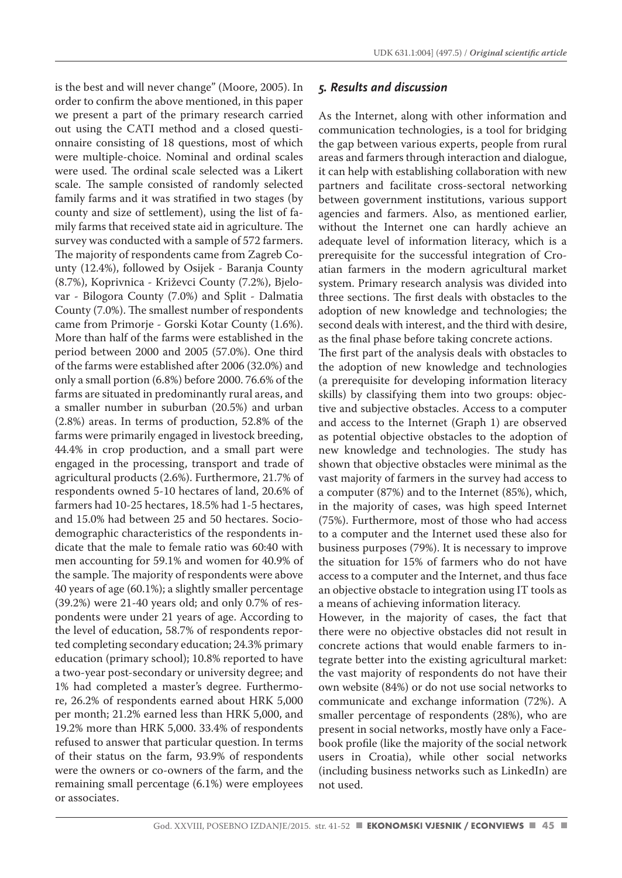is the best and will never change" (Moore, 2005). In order to confirm the above mentioned, in this paper we present a part of the primary research carried out using the CATI method and a closed questionnaire consisting of 18 questions, most of which were multiple-choice. Nominal and ordinal scales were used. The ordinal scale selected was a Likert scale. The sample consisted of randomly selected family farms and it was stratified in two stages (by county and size of settlement), using the list of family farms that received state aid in agriculture. The survey was conducted with a sample of 572 farmers. The majority of respondents came from Zagreb County (12.4%), followed by Osijek - Baranja County (8.7%), Koprivnica - Križevci County (7.2%), Bjelovar - Bilogora County (7.0%) and Split - Dalmatia County (7.0%). The smallest number of respondents came from Primorje - Gorski Kotar County (1.6%). More than half of the farms were established in the period between 2000 and 2005 (57.0%). One third of the farms were established after 2006 (32.0%) and only a small portion (6.8%) before 2000. 76.6% of the farms are situated in predominantly rural areas, and a smaller number in suburban (20.5%) and urban (2.8%) areas. In terms of production, 52.8% of the farms were primarily engaged in livestock breeding, 44.4% in crop production, and a small part were engaged in the processing, transport and trade of agricultural products (2.6%). Furthermore, 21.7% of respondents owned 5-10 hectares of land, 20.6% of farmers had 10-25 hectares, 18.5% had 1-5 hectares, and 15.0% had between 25 and 50 hectares. Sociodemographic characteristics of the respondents indicate that the male to female ratio was 60:40 with men accounting for 59.1% and women for 40.9% of the sample. The majority of respondents were above 40 years of age (60.1%); a slightly smaller percentage (39.2%) were 21-40 years old; and only 0.7% of respondents were under 21 years of age. According to the level of education, 58.7% of respondents reported completing secondary education; 24.3% primary education (primary school); 10.8% reported to have a two-year post-secondary or university degree; and 1% had completed a master's degree. Furthermore, 26.2% of respondents earned about HRK 5,000 per month; 21.2% earned less than HRK 5,000, and 19.2% more than HRK 5,000. 33.4% of respondents refused to answer that particular question. In terms of their status on the farm, 93.9% of respondents were the owners or co-owners of the farm, and the remaining small percentage (6.1%) were employees or associates.

#### *5. Results and discussion*

As the Internet, along with other information and communication technologies, is a tool for bridging the gap between various experts, people from rural areas and farmers through interaction and dialogue, it can help with establishing collaboration with new partners and facilitate cross-sectoral networking between government institutions, various support agencies and farmers. Also, as mentioned earlier, without the Internet one can hardly achieve an adequate level of information literacy, which is a prerequisite for the successful integration of Croatian farmers in the modern agricultural market system. Primary research analysis was divided into three sections. The first deals with obstacles to the adoption of new knowledge and technologies; the second deals with interest, and the third with desire, as the final phase before taking concrete actions.

The first part of the analysis deals with obstacles to the adoption of new knowledge and technologies (a prerequisite for developing information literacy skills) by classifying them into two groups: objective and subjective obstacles. Access to a computer and access to the Internet (Graph 1) are observed as potential objective obstacles to the adoption of new knowledge and technologies. The study has shown that objective obstacles were minimal as the vast majority of farmers in the survey had access to a computer (87%) and to the Internet (85%), which, in the majority of cases, was high speed Internet (75%). Furthermore, most of those who had access to a computer and the Internet used these also for business purposes (79%). It is necessary to improve the situation for 15% of farmers who do not have access to a computer and the Internet, and thus face an objective obstacle to integration using IT tools as a means of achieving information literacy.

However, in the majority of cases, the fact that there were no objective obstacles did not result in concrete actions that would enable farmers to integrate better into the existing agricultural market: the vast majority of respondents do not have their own website (84%) or do not use social networks to communicate and exchange information (72%). A smaller percentage of respondents (28%), who are present in social networks, mostly have only a Facebook profile (like the majority of the social network users in Croatia), while other social networks (including business networks such as LinkedIn) are not used.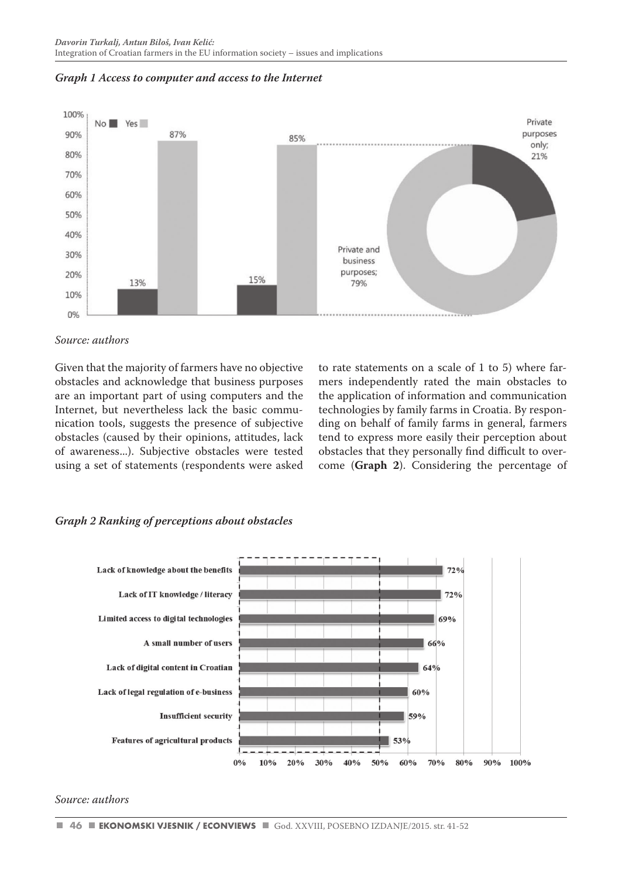



#### *Source: authors*

Given that the majority of farmers have no objective obstacles and acknowledge that business purposes are an important part of using computers and the Internet, but nevertheless lack the basic communication tools, suggests the presence of subjective obstacles (caused by their opinions, attitudes, lack of awareness...). Subjective obstacles were tested using a set of statements (respondents were asked

to rate statements on a scale of 1 to 5) where farmers independently rated the main obstacles to the application of information and communication technologies by family farms in Croatia. By responding on behalf of family farms in general, farmers tend to express more easily their perception about obstacles that they personally find difficult to overcome (**Graph 2**). Considering the percentage of

#### *Graph 2 Ranking of perceptions about obstacles*



#### *Source: authors*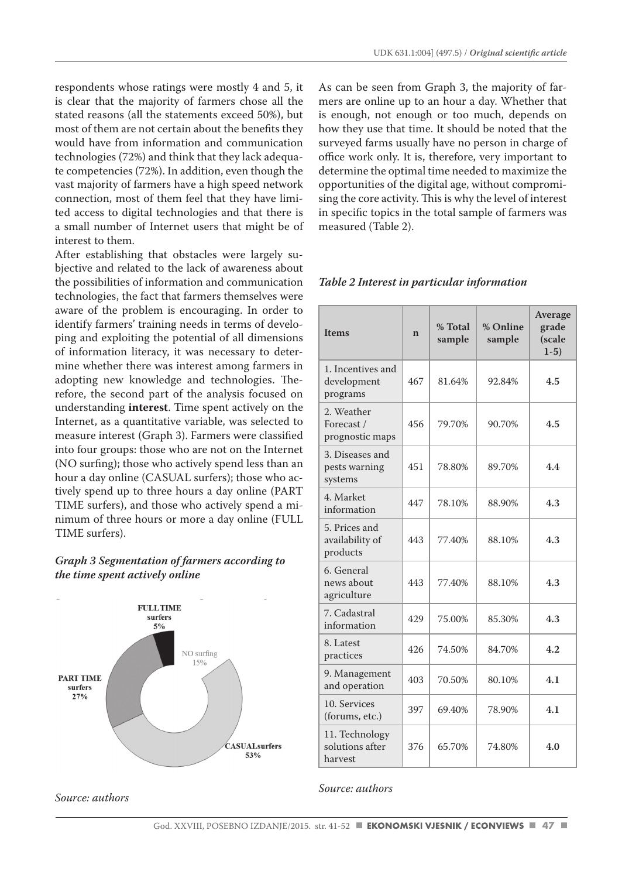respondents whose ratings were mostly 4 and 5, it is clear that the majority of farmers chose all the stated reasons (all the statements exceed 50%), but most of them are not certain about the benefits they would have from information and communication technologies (72%) and think that they lack adequate competencies (72%). In addition, even though the vast majority of farmers have a high speed network connection, most of them feel that they have limited access to digital technologies and that there is a small number of Internet users that might be of interest to them.

After establishing that obstacles were largely subjective and related to the lack of awareness about the possibilities of information and communication technologies, the fact that farmers themselves were aware of the problem is encouraging. In order to identify farmers' training needs in terms of developing and exploiting the potential of all dimensions of information literacy, it was necessary to determine whether there was interest among farmers in adopting new knowledge and technologies. Therefore, the second part of the analysis focused on understanding **interest**. Time spent actively on the Internet, as a quantitative variable, was selected to measure interest (Graph 3). Farmers were classified into four groups: those who are not on the Internet (NO surfing); those who actively spend less than an hour a day online (CASUAL surfers); those who actively spend up to three hours a day online (PART TIME surfers), and those who actively spend a minimum of three hours or more a day online (FULL TIME surfers).

#### *Graph 3 Segmentation of farmers according to the time spent actively online*



*Source: authors*

As can be seen from Graph 3, the majority of farmers are online up to an hour a day. Whether that is enough, not enough or too much, depends on how they use that time. It should be noted that the surveyed farms usually have no person in charge of office work only. It is, therefore, very important to determine the optimal time needed to maximize the opportunities of the digital age, without compromising the core activity. This is why the level of interest in specific topics in the total sample of farmers was measured (Table 2).

#### **Items <sup>n</sup> % Total sample % Online sample Average grade (scale 1-5)** 1. Incentives and development programs 467 81.64% 92.84% **4.5** 2. Weather Forecast / prognostic maps 456 79.70% 90.70% **4.5** 3. Diseases and pests warning systems 451 78.80% 89.70% **4.4** 4. Market information <sup>447</sup> 78.10% 88.90% **4.3** 5. Prices and availability of products 443 77.40% 88.10% **4.3** 6. General news about agriculture 443 77.40% 88.10% **4.3** 7. Cadastral information <sup>429</sup> 75.00% 85.30% **4.3** 8. Latest practices <sup>426</sup> 74.50% 84.70% **4.2** 9. Management and operation  $\begin{vmatrix} 403 & 70.50\% & 80.10\% \end{vmatrix}$  4.1 10. Services (forums, etc.) <sup>397</sup> 69.40% 78.90% **4.1** 11. Technology solutions after harvest 376 65.70% 74.80% **4.0**

#### *Table 2 Interest in particular information*

#### *Source: authors*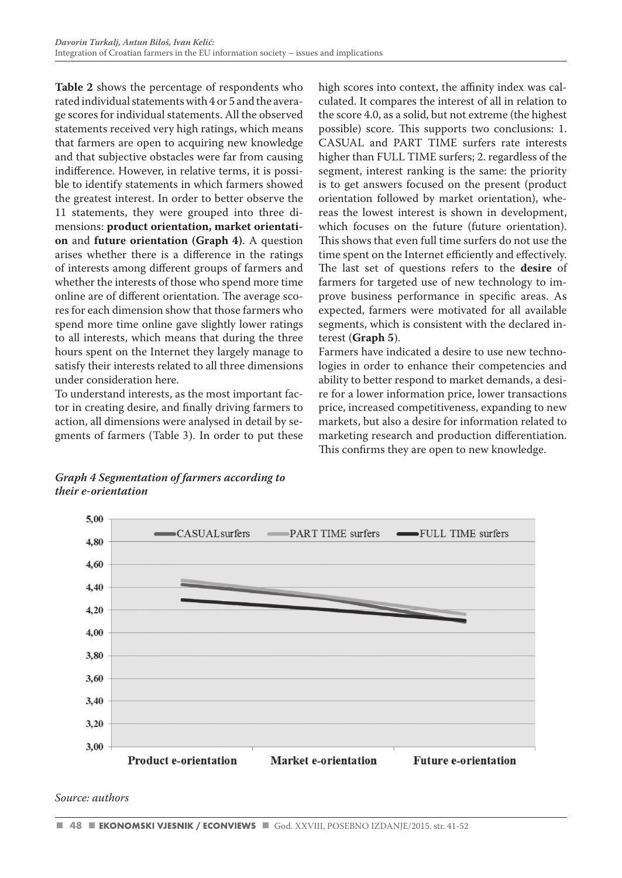**Table 2** shows the percentage of respondents who rated individual statements with 4 or 5 and the average scores for individual statements. All the observed statements received very high ratings, which means that farmers are open to acquiring new knowledge and that subjective obstacles were far from causing indifference. However, in relative terms, it is possible to identify statements in which farmers showed the greatest interest. In order to better observe the 11 statements, they were grouped into three dimensions: **product orientation, market orientation** and **future orientation (Graph 4)**. A question arises whether there is a difference in the ratings of interests among different groups of farmers and whether the interests of those who spend more time online are of different orientation. The average scores for each dimension show that those farmers who spend more time online gave slightly lower ratings to all interests, which means that during the three hours spent on the Internet they largely manage to satisfy their interests related to all three dimensions under consideration here.

To understand interests, as the most important factor in creating desire, and finally driving farmers to action, all dimensions were analysed in detail by segments of farmers (Table 3). In order to put these high scores into context, the affinity index was calculated. It compares the interest of all in relation to the score 4.0, as a solid, but not extreme (the highest possible) score. This supports two conclusions: 1. CASUAL and PART TIME surfers rate interests higher than FULL TIME surfers; 2. regardless of the segment, interest ranking is the same: the priority is to get answers focused on the present (product orientation followed by market orientation), whereas the lowest interest is shown in development, which focuses on the future (future orientation). This shows that even full time surfers do not use the time spent on the Internet efficiently and effectively. The last set of questions refers to the **desire** of farmers for targeted use of new technology to improve business performance in specific areas. As expected, farmers were motivated for all available segments, which is consistent with the declared interest (**Graph 5**).

Farmers have indicated a desire to use new technologies in order to enhance their competencies and ability to better respond to market demands, a desire for a lower information price, lower transactions price, increased competitiveness, expanding to new markets, but also a desire for information related to marketing research and production differentiation. This confirms they are open to new knowledge.

*Graph 4 Segmentation of farmers according to their e-orientation*



*Source: authors*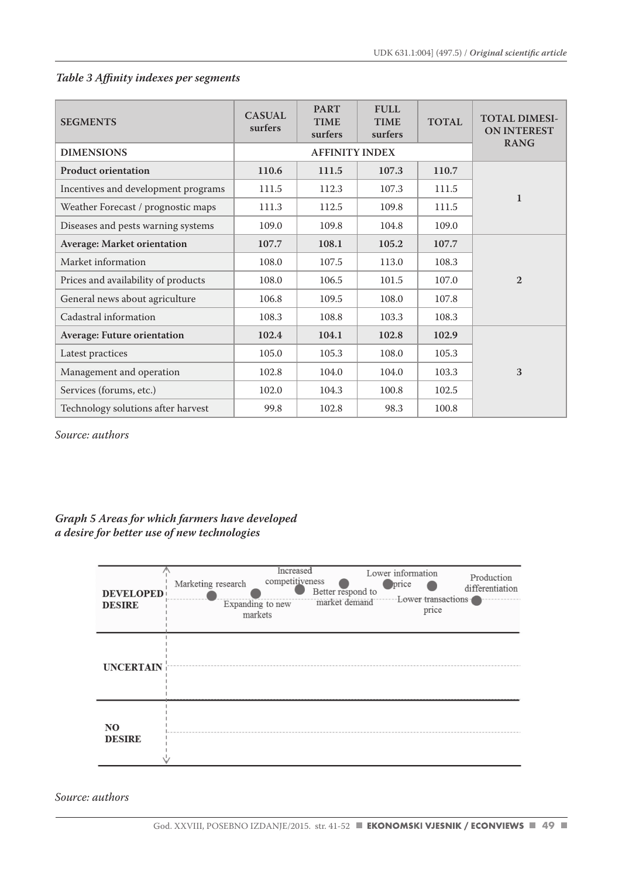# *Table 3 Affinity indexes per segments*

| <b>SEGMENTS</b>                     | <b>CASUAL</b><br>surfers | <b>PART</b><br><b>TIME</b><br>surfers | <b>FULL</b><br><b>TIME</b><br>surfers | <b>TOTAL</b> | <b>TOTAL DIMESI-</b><br><b>ON INTEREST</b> |
|-------------------------------------|--------------------------|---------------------------------------|---------------------------------------|--------------|--------------------------------------------|
| <b>DIMENSIONS</b>                   |                          | <b>RANG</b>                           |                                       |              |                                            |
| <b>Product orientation</b>          | 110.6                    | 111.5                                 | 107.3                                 | 110.7        |                                            |
| Incentives and development programs | 111.5                    | 112.3                                 | 107.3                                 | 111.5        | $\mathbf{1}$                               |
| Weather Forecast / prognostic maps  | 111.3                    | 112.5                                 | 109.8                                 | 111.5        |                                            |
| Diseases and pests warning systems  | 109.0                    | 109.8                                 | 104.8                                 | 109.0        |                                            |
| <b>Average: Market orientation</b>  | 107.7                    | 108.1                                 | 105.2                                 | 107.7        |                                            |
| Market information                  | 108.0                    | 107.5                                 | 113.0                                 | 108.3        |                                            |
| Prices and availability of products | 108.0                    | 106.5                                 | 101.5                                 | 107.0        | $\mathbf{2}$                               |
| General news about agriculture      | 106.8                    | 109.5                                 | 108.0                                 | 107.8        |                                            |
| Cadastral information               | 108.3                    | 108.8                                 | 103.3                                 | 108.3        |                                            |
| <b>Average: Future orientation</b>  | 102.4                    | 104.1                                 | 102.8                                 | 102.9        |                                            |
| Latest practices                    | 105.0                    | 105.3                                 | 108.0                                 | 105.3        |                                            |
| Management and operation            | 102.8                    | 104.0                                 | 104.0                                 | 103.3        | 3                                          |
| Services (forums, etc.)             | 102.0                    | 104.3                                 | 100.8                                 | 102.5        |                                            |
| Technology solutions after harvest  | 99.8                     | 102.8                                 | 98.3                                  | 100.8        |                                            |

*Source: authors* 

# *Graph 5 Areas for which farmers have developed a desire for better use of new technologies*

| <b>DEVELOPED</b><br><b>DESIRE</b> | Increased<br>Lower information<br>Production<br>competitiveness<br>Marketing research<br>price<br>differentiation<br>Better respond to<br>Lower transactions<br>market demand<br>Expanding to new<br>price<br>markets |
|-----------------------------------|-----------------------------------------------------------------------------------------------------------------------------------------------------------------------------------------------------------------------|
| <b>UNCERTAIN</b>                  |                                                                                                                                                                                                                       |
| NO.<br><b>DESIRE</b>              |                                                                                                                                                                                                                       |

*Source: authors*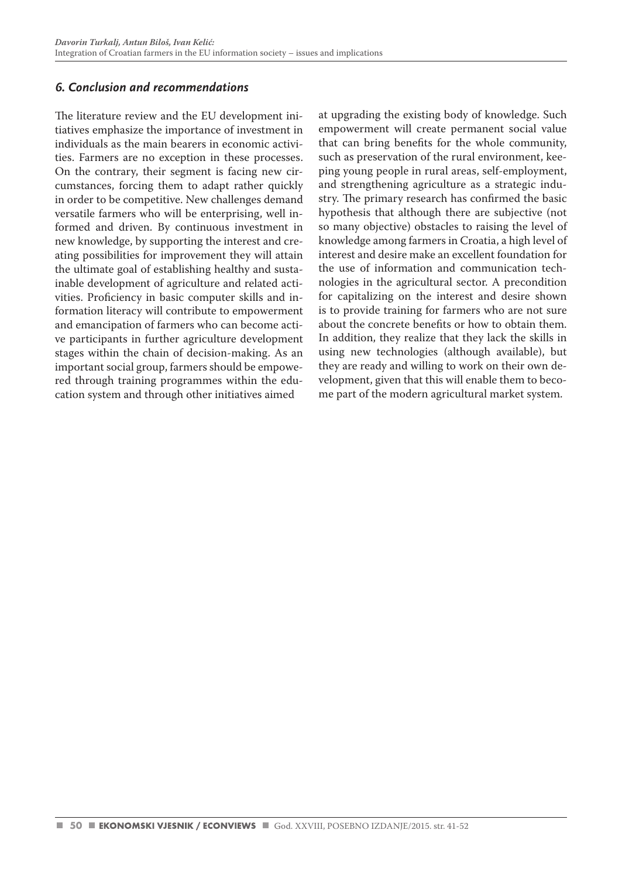# *6. Conclusion and recommendations*

The literature review and the EU development initiatives emphasize the importance of investment in individuals as the main bearers in economic activities. Farmers are no exception in these processes. On the contrary, their segment is facing new circumstances, forcing them to adapt rather quickly in order to be competitive. New challenges demand versatile farmers who will be enterprising, well informed and driven. By continuous investment in new knowledge, by supporting the interest and creating possibilities for improvement they will attain the ultimate goal of establishing healthy and sustainable development of agriculture and related activities. Proficiency in basic computer skills and information literacy will contribute to empowerment and emancipation of farmers who can become active participants in further agriculture development stages within the chain of decision-making. As an important social group, farmers should be empowered through training programmes within the education system and through other initiatives aimed

at upgrading the existing body of knowledge. Such empowerment will create permanent social value that can bring benefits for the whole community, such as preservation of the rural environment, keeping young people in rural areas, self-employment, and strengthening agriculture as a strategic industry. The primary research has confirmed the basic hypothesis that although there are subjective (not so many objective) obstacles to raising the level of knowledge among farmers in Croatia, a high level of interest and desire make an excellent foundation for the use of information and communication technologies in the agricultural sector. A precondition for capitalizing on the interest and desire shown is to provide training for farmers who are not sure about the concrete benefits or how to obtain them. In addition, they realize that they lack the skills in using new technologies (although available), but they are ready and willing to work on their own development, given that this will enable them to become part of the modern agricultural market system.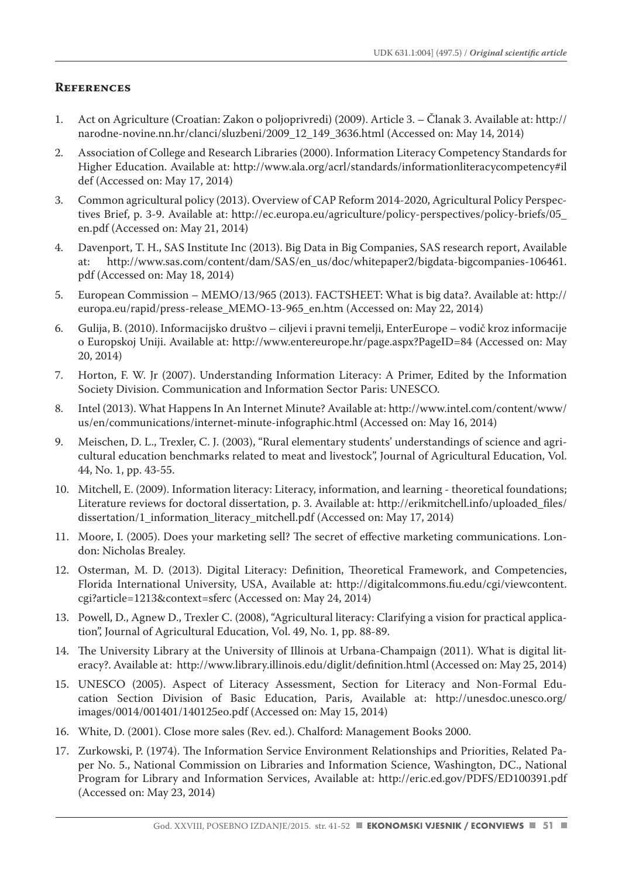## **References**

- 1. Act on Agriculture (Croatian: Zakon o poljoprivredi) (2009). Article 3. Članak 3. Available at: http:// narodne-novine.nn.hr/clanci/sluzbeni/2009\_12\_149\_3636.html (Accessed on: May 14, 2014)
- 2. Association of College and Research Libraries (2000). Information Literacy Competency Standards for Higher Education. Available at: http://www.ala.org/acrl/standards/informationliteracycompetency#il def (Accessed on: May 17, 2014)
- 3. Common agricultural policy (2013). Overview of CAP Reform 2014-2020, Agricultural Policy Perspectives Brief, p. 3-9. Available at: http://ec.europa.eu/agriculture/policy-perspectives/policy-briefs/05\_ en.pdf (Accessed on: May 21, 2014)
- 4. Davenport, T. H., SAS Institute Inc (2013). Big Data in Big Companies, SAS research report, Available at: http://www.sas.com/content/dam/SAS/en\_us/doc/whitepaper2/bigdata-bigcompanies-106461. pdf (Accessed on: May 18, 2014)
- 5. European Commission MEMO/13/965 (2013). FACTSHEET: What is big data?. Available at: http:// europa.eu/rapid/press-release\_MEMO-13-965\_en.htm (Accessed on: May 22, 2014)
- 6. Gulija, B. (2010). Informacijsko društvo ciljevi i pravni temelji, EnterEurope vodič kroz informacije o Europskoj Uniji. Available at: http://www.entereurope.hr/page.aspx?PageID=84 (Accessed on: May 20, 2014)
- 7. Horton, F. W. Jr (2007). Understanding Information Literacy: A Primer, Edited by the Information Society Division. Communication and Information Sector Paris: UNESCO.
- 8. Intel (2013). What Happens In An Internet Minute? Available at: http://www.intel.com/content/www/ us/en/communications/internet-minute-infographic.html (Accessed on: May 16, 2014)
- 9. Meischen, D. L., Trexler, C. J. (2003), "Rural elementary students' understandings of science and agricultural education benchmarks related to meat and livestock", Journal of Agricultural Education, Vol. 44, No. 1, pp. 43-55.
- 10. Mitchell, E. (2009). Information literacy: Literacy, information, and learning theoretical foundations; Literature reviews for doctoral dissertation, p. 3. Available at: http://erikmitchell.info/uploaded\_files/ dissertation/1\_information\_literacy\_mitchell.pdf (Accessed on: May 17, 2014)
- 11. Moore, I. (2005). Does your marketing sell? The secret of effective marketing communications. London: Nicholas Brealey.
- 12. Osterman, M. D. (2013). Digital Literacy: Definition, Theoretical Framework, and Competencies, Florida International University, USA, Available at: http://digitalcommons.fiu.edu/cgi/viewcontent. cgi?article=1213&context=sferc (Accessed on: May 24, 2014)
- 13. Powell, D., Agnew D., Trexler C. (2008), "Agricultural literacy: Clarifying a vision for practical application", Journal of Agricultural Education, Vol. 49, No. 1, pp. 88-89.
- 14. The University Library at the University of Illinois at Urbana-Champaign (2011). What is digital literacy?. Available at: http://www.library.illinois.edu/diglit/definition.html (Accessed on: May 25, 2014)
- 15. UNESCO (2005). Aspect of Literacy Assessment, Section for Literacy and Non-Formal Education Section Division of Basic Education, Paris, Available at: http://unesdoc.unesco.org/ images/0014/001401/140125eo.pdf (Accessed on: May 15, 2014)
- 16. White, D. (2001). Close more sales (Rev. ed.). Chalford: Management Books 2000.
- 17. Zurkowski, P. (1974). The Information Service Environment Relationships and Priorities, Related Paper No. 5., National Commission on Libraries and Information Science, Washington, DC., National Program for Library and Information Services, Available at: http://eric.ed.gov/PDFS/ED100391.pdf (Accessed on: May 23, 2014)